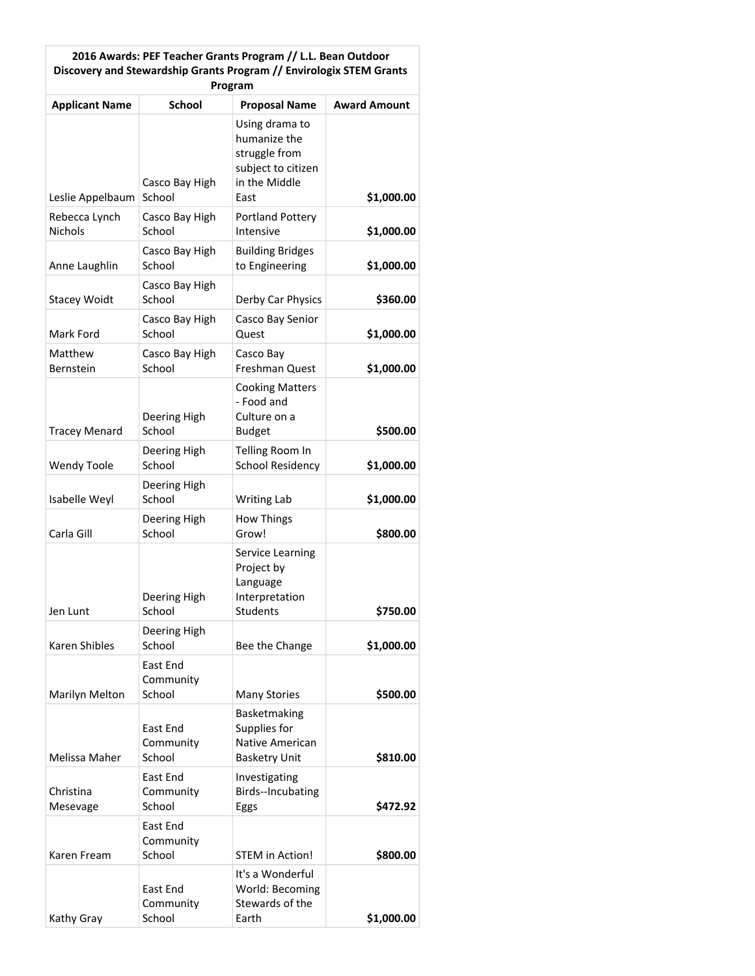| 2016 Awards: PEF Teacher Grants Program // L.L. Bean Outdoor<br>Discovery and Stewardship Grants Program // Envirologix STEM Grants<br>Program |                                 |                                                                                                |                     |  |
|------------------------------------------------------------------------------------------------------------------------------------------------|---------------------------------|------------------------------------------------------------------------------------------------|---------------------|--|
| <b>Applicant Name</b>                                                                                                                          | <b>School</b>                   | <b>Proposal Name</b>                                                                           | <b>Award Amount</b> |  |
| Leslie Appelbaum                                                                                                                               | Casco Bay High<br>School        | Using drama to<br>humanize the<br>struggle from<br>subject to citizen<br>in the Middle<br>East | \$1,000.00          |  |
| Rebecca Lynch<br><b>Nichols</b>                                                                                                                | Casco Bay High<br>School        | <b>Portland Pottery</b><br>Intensive                                                           | \$1,000.00          |  |
| Anne Laughlin                                                                                                                                  | Casco Bay High<br>School        | <b>Building Bridges</b><br>to Engineering                                                      | \$1,000.00          |  |
| <b>Stacey Woidt</b>                                                                                                                            | Casco Bay High<br>School        | Derby Car Physics                                                                              | \$360.00            |  |
| Mark Ford                                                                                                                                      | Casco Bay High<br>School        | Casco Bay Senior<br>Quest                                                                      | \$1,000.00          |  |
| Matthew<br><b>Bernstein</b>                                                                                                                    | Casco Bay High<br>School        | Casco Bay<br>Freshman Quest                                                                    | \$1,000.00          |  |
| <b>Tracey Menard</b>                                                                                                                           | Deering High<br>School          | <b>Cooking Matters</b><br>- Food and<br>Culture on a<br><b>Budget</b>                          | \$500.00            |  |
| <b>Wendy Toole</b>                                                                                                                             | Deering High<br>School          | Telling Room In<br><b>School Residency</b>                                                     | \$1,000.00          |  |
| Isabelle Weyl                                                                                                                                  | Deering High<br>School          | <b>Writing Lab</b>                                                                             | \$1,000.00          |  |
| Carla Gill                                                                                                                                     | Deering High<br>School          | <b>How Things</b><br>Grow!                                                                     | \$800.00            |  |
| Jen Lunt                                                                                                                                       | Deering High<br>School          | Service Learning<br>Project by<br>Language<br>Interpretation<br>Students                       | \$750.00            |  |
| Karen Shibles                                                                                                                                  | Deering High<br>School          | Bee the Change                                                                                 | \$1,000.00          |  |
| Marilyn Melton                                                                                                                                 | East End<br>Community<br>School | <b>Many Stories</b>                                                                            | \$500.00            |  |
| Melissa Maher                                                                                                                                  | East End<br>Community<br>School | <b>Basketmaking</b><br>Supplies for<br>Native American<br><b>Basketry Unit</b>                 | \$810.00            |  |
| Christina<br>Mesevage                                                                                                                          | East End<br>Community<br>School | Investigating<br>Birds--Incubating<br>Eggs                                                     | \$472.92            |  |
| Karen Fream                                                                                                                                    | East End<br>Community<br>School | <b>STEM in Action!</b>                                                                         | \$800.00            |  |
| Kathy Gray                                                                                                                                     | East End<br>Community<br>School | It's a Wonderful<br>World: Becoming<br>Stewards of the<br>Earth                                | \$1,000.00          |  |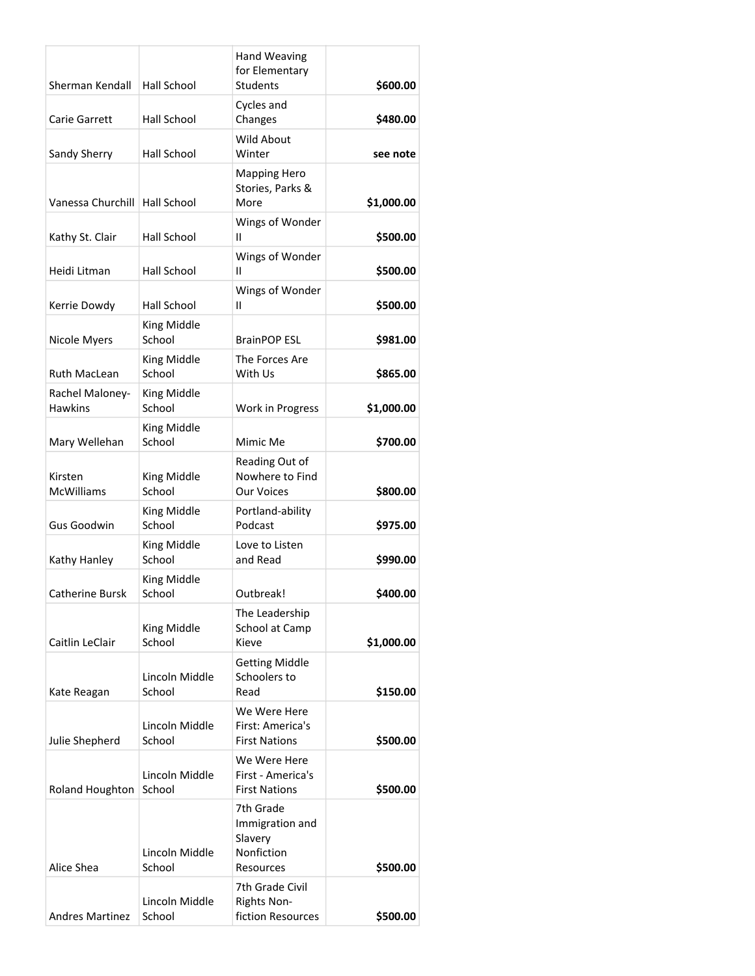| Sherman Kendall                   | Hall School              | <b>Hand Weaving</b><br>for Elementary<br><b>Students</b>           | \$600.00   |
|-----------------------------------|--------------------------|--------------------------------------------------------------------|------------|
| <b>Carie Garrett</b>              | <b>Hall School</b>       | Cycles and<br>Changes                                              | \$480.00   |
| Sandy Sherry                      | <b>Hall School</b>       | <b>Wild About</b><br>Winter                                        | see note   |
|                                   |                          | <b>Mapping Hero</b><br>Stories, Parks &                            |            |
| Vanessa Churchill                 | Hall School              | More                                                               | \$1,000.00 |
| Kathy St. Clair                   | Hall School              | Wings of Wonder<br>Ш                                               | \$500.00   |
| Heidi Litman                      | <b>Hall School</b>       | Wings of Wonder<br>Ш                                               | \$500.00   |
| Kerrie Dowdy                      | Hall School              | Wings of Wonder<br>Ш                                               | \$500.00   |
| Nicole Myers                      | King Middle<br>School    | <b>BrainPOP ESL</b>                                                | \$981.00   |
| <b>Ruth MacLean</b>               | King Middle<br>School    | The Forces Are<br>With Us                                          | \$865.00   |
| Rachel Maloney-<br><b>Hawkins</b> | King Middle<br>School    | Work in Progress                                                   | \$1,000.00 |
| Mary Wellehan                     | King Middle<br>School    | Mimic Me                                                           | \$700.00   |
| Kirsten<br><b>McWilliams</b>      | King Middle<br>School    | Reading Out of<br>Nowhere to Find<br><b>Our Voices</b>             | \$800.00   |
|                                   | King Middle              | Portland-ability                                                   |            |
| Gus Goodwin                       | School                   | Podcast                                                            | \$975.00   |
| Kathy Hanley                      | King Middle<br>School    | Love to Listen<br>and Read                                         | \$990.00   |
| Catherine Bursk                   | King Middle<br>School    | Outbreak!                                                          | \$400.00   |
| Caitlin LeClair                   | King Middle<br>School    | The Leadership<br>School at Camp<br>Kieve                          | \$1,000.00 |
| Kate Reagan                       | Lincoln Middle<br>School | <b>Getting Middle</b><br>Schoolers to<br>Read                      | \$150.00   |
| Julie Shepherd                    | Lincoln Middle<br>School | We Were Here<br>First: America's<br><b>First Nations</b>           | \$500.00   |
| Roland Houghton                   | Lincoln Middle<br>School | We Were Here<br>First - America's<br><b>First Nations</b>          | \$500.00   |
| Alice Shea                        | Lincoln Middle<br>School | 7th Grade<br>Immigration and<br>Slavery<br>Nonfiction<br>Resources | \$500.00   |
| <b>Andres Martinez</b>            | Lincoln Middle<br>School | 7th Grade Civil<br>Rights Non-<br>fiction Resources                | \$500.00   |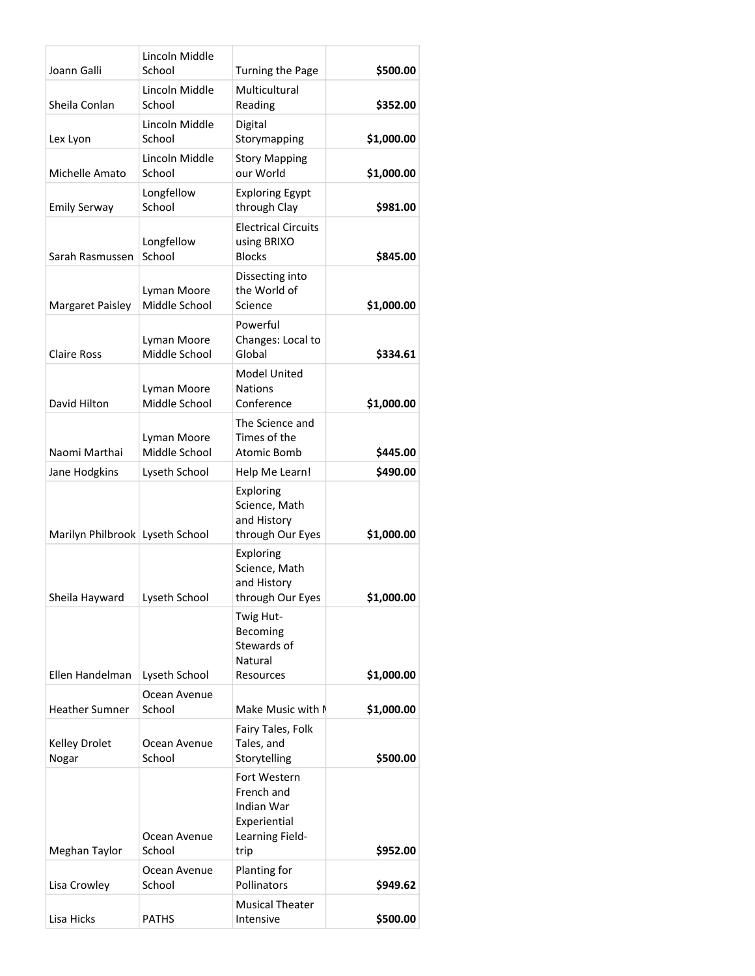| Joann Galli                     | Lincoln Middle<br>School     | Turning the Page                                                                    | \$500.00   |
|---------------------------------|------------------------------|-------------------------------------------------------------------------------------|------------|
| Sheila Conlan                   | Lincoln Middle<br>School     | Multicultural<br>Reading                                                            | \$352.00   |
| Lex Lyon                        | Lincoln Middle<br>School     | Digital<br>Storymapping                                                             | \$1,000.00 |
| Michelle Amato                  | Lincoln Middle<br>School     | <b>Story Mapping</b><br>our World                                                   | \$1,000.00 |
| <b>Emily Serway</b>             | Longfellow<br>School         | <b>Exploring Egypt</b><br>through Clay                                              | \$981.00   |
| Sarah Rasmussen                 | Longfellow<br>School         | <b>Electrical Circuits</b><br>using BRIXO<br><b>Blocks</b>                          | \$845.00   |
| Margaret Paisley                | Lyman Moore<br>Middle School | Dissecting into<br>the World of<br>Science                                          | \$1,000.00 |
| <b>Claire Ross</b>              | Lyman Moore<br>Middle School | Powerful<br>Changes: Local to<br>Global                                             | \$334.61   |
| David Hilton                    | Lyman Moore<br>Middle School | <b>Model United</b><br><b>Nations</b><br>Conference                                 | \$1,000.00 |
| Naomi Marthai                   | Lyman Moore<br>Middle School | The Science and<br>Times of the<br>Atomic Bomb                                      | \$445.00   |
| Jane Hodgkins                   | Lyseth School                | Help Me Learn!                                                                      | \$490.00   |
| Marilyn Philbrook Lyseth School |                              | Exploring<br>Science, Math<br>and History<br>through Our Eyes                       | \$1,000.00 |
| Sheila Hayward   Lyseth School  |                              | Exploring<br>Science, Math<br>and History<br>through Our Eyes                       | \$1,000.00 |
|                                 |                              | Twig Hut-<br>Becoming<br>Stewards of<br>Natural                                     |            |
| Ellen Handelman                 | Lyseth School                | Resources                                                                           | \$1,000.00 |
| <b>Heather Sumner</b>           | Ocean Avenue<br>School       | Make Music with I                                                                   | \$1,000.00 |
| Kelley Drolet<br>Nogar          | Ocean Avenue<br>School       | Fairy Tales, Folk<br>Tales, and<br>Storytelling                                     | \$500.00   |
| Meghan Taylor                   | Ocean Avenue<br>School       | Fort Western<br>French and<br>Indian War<br>Experiential<br>Learning Field-<br>trip | \$952.00   |
| Lisa Crowley                    | Ocean Avenue<br>School       | Planting for<br>Pollinators                                                         | \$949.62   |
| Lisa Hicks                      | <b>PATHS</b>                 | <b>Musical Theater</b><br>Intensive                                                 | \$500.00   |